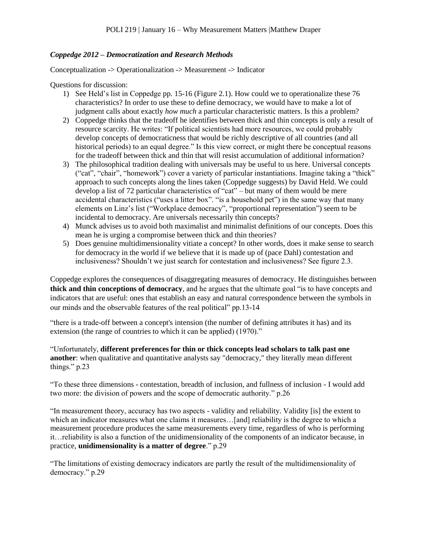## *Coppedge 2012 – Democratization and Research Methods*

Conceptualization -> Operationalization -> Measurement -> Indicator

Questions for discussion:

- 1) See Held's list in Coppedge pp. 15-16 (Figure 2.1). How could we to operationalize these 76 characteristics? In order to use these to define democracy, we would have to make a lot of judgment calls about exactly *how much* a particular characteristic matters. Is this a problem?
- 2) Coppedge thinks that the tradeoff he identifies between thick and thin concepts is only a result of resource scarcity. He writes: "If political scientists had more resources, we could probably develop concepts of democraticness that would be richly descriptive of all countries (and all historical periods) to an equal degree." Is this view correct, or might there be conceptual reasons for the tradeoff between thick and thin that will resist accumulation of additional information?
- 3) The philosophical tradition dealing with universals may be useful to us here. Universal concepts ("cat", "chair", "homework") cover a variety of particular instantiations. Imagine taking a "thick" approach to such concepts along the lines taken (Coppedge suggests) by David Held. We could develop a list of 72 particular characteristics of "cat" – but many of them would be mere accidental characteristics ("uses a litter box". "is a household pet") in the same way that many elements on Linz's list ("Workplace democracy", "proportional representation") seem to be incidental to democracy. Are universals necessarily thin concepts?
- 4) Munck advises us to avoid both maximalist and minimalist definitions of our concepts. Does this mean he is urging a compromise between thick and thin theories?
- 5) Does genuine multidimensionality vitiate a concept? In other words, does it make sense to search for democracy in the world if we believe that it is made up of (pace Dahl) contestation and inclusiveness? Shouldn't we just search for contestation and inclusiveness? See figure 2.3.

Coppedge explores the consequences of disaggregating measures of democracy. He distinguishes between **thick and thin conceptions of democracy**, and he argues that the ultimate goal "is to have concepts and indicators that are useful: ones that establish an easy and natural correspondence between the symbols in our minds and the observable features of the real political" pp.13-14

"there is a trade-off between a concept's intension (the number of defining attributes it has) and its extension (the range of countries to which it can be applied) (1970)."

"Unfortunately, **different preferences for thin or thick concepts lead scholars to talk past one another**: when qualitative and quantitative analysts say "democracy," they literally mean different things." p.23

"To these three dimensions - contestation, breadth of inclusion, and fullness of inclusion - I would add two more: the division of powers and the scope of democratic authority." p.26

"In measurement theory, accuracy has two aspects - validity and reliability. Validity [is] the extent to which an indicator measures what one claims it measures...[and] reliability is the degree to which a measurement procedure produces the same measurements every time, regardless of who is performing it…reliability is also a function of the unidimensionality of the components of an indicator because, in practice, **unidimensionality is a matter of degree**." p.29

"The limitations of existing democracy indicators are partly the result of the multidimensionality of democracy." p.29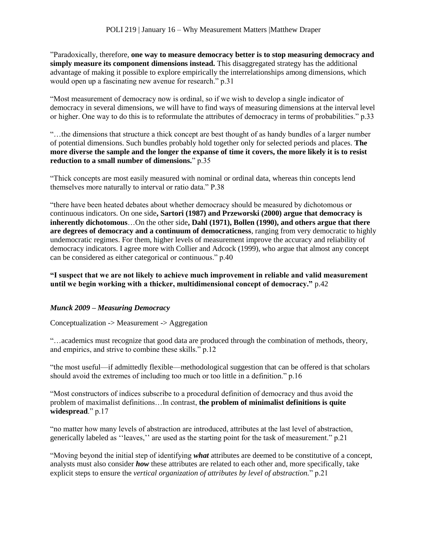"Paradoxically, therefore, **one way to measure democracy better is to stop measuring democracy and simply measure its component dimensions instead.** This disaggregated strategy has the additional advantage of making it possible to explore empirically the interrelationships among dimensions, which would open up a fascinating new avenue for research." p.31

"Most measurement of democracy now is ordinal, so if we wish to develop a single indicator of democracy in several dimensions, we will have to find ways of measuring dimensions at the interval level or higher. One way to do this is to reformulate the attributes of democracy in terms of probabilities." p.33

"…the dimensions that structure a thick concept are best thought of as handy bundles of a larger number of potential dimensions. Such bundles probably hold together only for selected periods and places. **The more diverse the sample and the longer the expanse of time it covers, the more likely it is to resist reduction to a small number of dimensions.**" p.35

"Thick concepts are most easily measured with nominal or ordinal data, whereas thin concepts lend themselves more naturally to interval or ratio data." P.38

"there have been heated debates about whether democracy should be measured by dichotomous or continuous indicators. On one side**, Sartori (1987) and Przeworski (2000) argue that democracy is inherently dichotomous**…On the other side**, Dahl (1971), Bollen (1990), and others argue that there are degrees of democracy and a continuum of democraticness**, ranging from very democratic to highly undemocratic regimes. For them, higher levels of measurement improve the accuracy and reliability of democracy indicators. I agree more with Collier and Adcock (1999), who argue that almost any concept can be considered as either categorical or continuous." p.40

**"I suspect that we are not likely to achieve much improvement in reliable and valid measurement until we begin working with a thicker, multidimensional concept of democracy."** p.42

# *Munck 2009 – Measuring Democracy*

Conceptualization -> Measurement -> Aggregation

"…academics must recognize that good data are produced through the combination of methods, theory, and empirics, and strive to combine these skills." p.12

"the most useful—if admittedly flexible—methodological suggestion that can be offered is that scholars should avoid the extremes of including too much or too little in a definition." p.16

"Most constructors of indices subscribe to a procedural definition of democracy and thus avoid the problem of maximalist definitions…In contrast, **the problem of minimalist definitions is quite widespread**." p.17

"no matter how many levels of abstraction are introduced, attributes at the last level of abstraction, generically labeled as ''leaves,'' are used as the starting point for the task of measurement." p.21

"Moving beyond the initial step of identifying *what* attributes are deemed to be constitutive of a concept, analysts must also consider *how* these attributes are related to each other and, more specifically, take explicit steps to ensure the *vertical organization of attributes by level of abstraction.*" p.21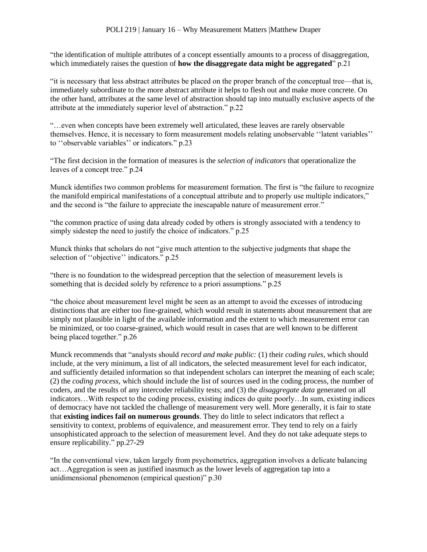"the identification of multiple attributes of a concept essentially amounts to a process of disaggregation, which immediately raises the question of **how the disaggregate data might be aggregated**" p.21

"it is necessary that less abstract attributes be placed on the proper branch of the conceptual tree—that is, immediately subordinate to the more abstract attribute it helps to flesh out and make more concrete. On the other hand, attributes at the same level of abstraction should tap into mutually exclusive aspects of the attribute at the immediately superior level of abstraction." p.22

"…even when concepts have been extremely well articulated, these leaves are rarely observable themselves. Hence, it is necessary to form measurement models relating unobservable ''latent variables'' to ''observable variables'' or indicators." p.23

"The first decision in the formation of measures is the *selection of indicators* that operationalize the leaves of a concept tree." p.24

Munck identifies two common problems for measurement formation. The first is "the failure to recognize the manifold empirical manifestations of a conceptual attribute and to properly use multiple indicators," and the second is "the failure to appreciate the inescapable nature of measurement error."

"the common practice of using data already coded by others is strongly associated with a tendency to simply sidestep the need to justify the choice of indicators." p.25

Munck thinks that scholars do not "give much attention to the subjective judgments that shape the selection of "objective" indicators." p.25

"there is no foundation to the widespread perception that the selection of measurement levels is something that is decided solely by reference to a priori assumptions." p.25

"the choice about measurement level might be seen as an attempt to avoid the excesses of introducing distinctions that are either too fine-grained, which would result in statements about measurement that are simply not plausible in light of the available information and the extent to which measurement error can be minimized, or too coarse-grained, which would result in cases that are well known to be different being placed together." p.26

Munck recommends that "analysts should *record and make public:* (1) their *coding rules,* which should include, at the very minimum, a list of all indicators, the selected measurement level for each indicator, and sufficiently detailed information so that independent scholars can interpret the meaning of each scale; (2) the *coding process,* which should include the list of sources used in the coding process, the number of coders, and the results of any intercoder reliability tests; and (3) the *disaggregate data* generated on all indicators…With respect to the coding process, existing indices do quite poorly…In sum, existing indices of democracy have not tackled the challenge of measurement very well. More generally, it is fair to state that **existing indices fail on numerous grounds**. They do little to select indicators that reflect a sensitivity to context, problems of equivalence, and measurement error. They tend to rely on a fairly unsophisticated approach to the selection of measurement level. And they do not take adequate steps to ensure replicability." pp.27-29

"In the conventional view, taken largely from psychometrics, aggregation involves a delicate balancing act…Aggregation is seen as justified inasmuch as the lower levels of aggregation tap into a unidimensional phenomenon (empirical question)" p.30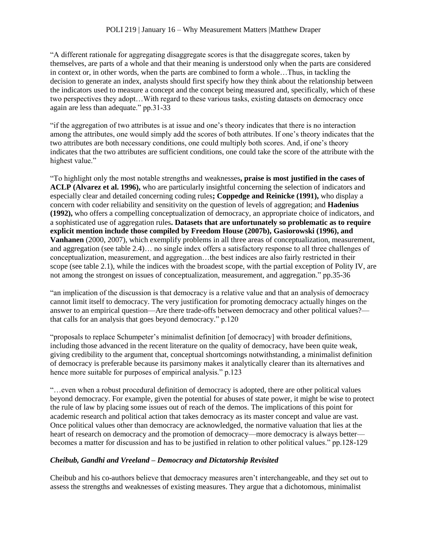"A different rationale for aggregating disaggregate scores is that the disaggregate scores, taken by themselves, are parts of a whole and that their meaning is understood only when the parts are considered in context or, in other words, when the parts are combined to form a whole…Thus, in tackling the decision to generate an index, analysts should first specify how they think about the relationship between the indicators used to measure a concept and the concept being measured and, specifically, which of these two perspectives they adopt…With regard to these various tasks, existing datasets on democracy once again are less than adequate." pp.31-33

"if the aggregation of two attributes is at issue and one's theory indicates that there is no interaction among the attributes, one would simply add the scores of both attributes. If one's theory indicates that the two attributes are both necessary conditions, one could multiply both scores. And, if one's theory indicates that the two attributes are sufficient conditions, one could take the score of the attribute with the highest value."

"To highlight only the most notable strengths and weaknesses**, praise is most justified in the cases of ACLP (Alvarez et al. 1996),** who are particularly insightful concerning the selection of indicators and especially clear and detailed concerning coding rules**; Coppedge and Reinicke (1991),** who display a concern with coder reliability and sensitivity on the question of levels of aggregation; and **Hadenius (1992),** who offers a compelling conceptualization of democracy, an appropriate choice of indicators, and a sophisticated use of aggregation rules**. Datasets that are unfortunately so problematic as to require explicit mention include those compiled by Freedom House (2007b), Gasiorowski (1996), and Vanhanen** (2000, 2007), which exemplify problems in all three areas of conceptualization, measurement, and aggregation (see table 2.4)… no single index offers a satisfactory response to all three challenges of conceptualization, measurement, and aggregation…the best indices are also fairly restricted in their scope (see table 2.1), while the indices with the broadest scope, with the partial exception of Polity IV, are not among the strongest on issues of conceptualization, measurement, and aggregation." pp.35-36

"an implication of the discussion is that democracy is a relative value and that an analysis of democracy cannot limit itself to democracy. The very justification for promoting democracy actually hinges on the answer to an empirical question—Are there trade-offs between democracy and other political values? that calls for an analysis that goes beyond democracy." p.120

"proposals to replace Schumpeter's minimalist definition [of democracy] with broader definitions, including those advanced in the recent literature on the quality of democracy, have been quite weak, giving credibility to the argument that, conceptual shortcomings notwithstanding, a minimalist definition of democracy is preferable because its parsimony makes it analytically clearer than its alternatives and hence more suitable for purposes of empirical analysis." p.123

"…even when a robust procedural definition of democracy is adopted, there are other political values beyond democracy. For example, given the potential for abuses of state power, it might be wise to protect the rule of law by placing some issues out of reach of the demos. The implications of this point for academic research and political action that takes democracy as its master concept and value are vast. Once political values other than democracy are acknowledged, the normative valuation that lies at the heart of research on democracy and the promotion of democracy—more democracy is always betterbecomes a matter for discussion and has to be justified in relation to other political values." pp.128-129

# *Cheibub, Gandhi and Vreeland – Democracy and Dictatorship Revisited*

Cheibub and his co-authors believe that democracy measures aren't interchangeable, and they set out to assess the strengths and weaknesses of existing measures. They argue that a dichotomous, minimalist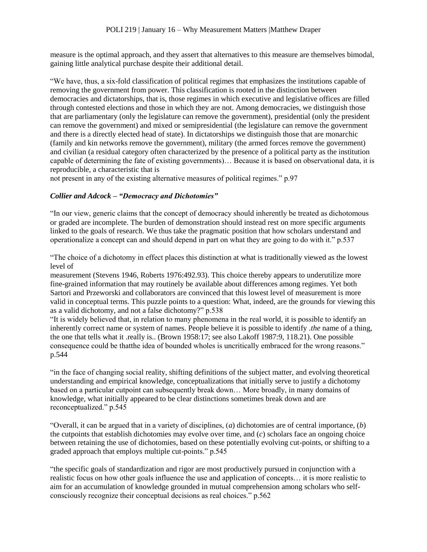measure is the optimal approach, and they assert that alternatives to this measure are themselves bimodal, gaining little analytical purchase despite their additional detail.

"We have, thus, a six-fold classification of political regimes that emphasizes the institutions capable of removing the government from power. This classification is rooted in the distinction between democracies and dictatorships, that is, those regimes in which executive and legislative offices are filled through contested elections and those in which they are not. Among democracies, we distinguish those that are parliamentary (only the legislature can remove the government), presidential (only the president can remove the government) and mixed or semipresidential (the legislature can remove the government and there is a directly elected head of state). In dictatorships we distinguish those that are monarchic (family and kin networks remove the government), military (the armed forces remove the government) and civilian (a residual category often characterized by the presence of a political party as the institution capable of determining the fate of existing governments)… Because it is based on observational data, it is reproducible, a characteristic that is

not present in any of the existing alternative measures of political regimes." p.97

## *Collier and Adcock – "Democracy and Dichotomies"*

"In our view, generic claims that the concept of democracy should inherently be treated as dichotomous or graded are incomplete. The burden of demonstration should instead rest on more specific arguments linked to the goals of research. We thus take the pragmatic position that how scholars understand and operationalize a concept can and should depend in part on what they are going to do with it." p.537

"The choice of a dichotomy in effect places this distinction at what is traditionally viewed as the lowest level of

measurement (Stevens 1946, Roberts 1976:492.93). This choice thereby appears to underutilize more fine-grained information that may routinely be available about differences among regimes. Yet both Sartori and Przeworski and collaborators are convinced that this lowest level of measurement is more valid in conceptual terms. This puzzle points to a question: What, indeed, are the grounds for viewing this as a valid dichotomy, and not a false dichotomy?" p.538

"It is widely believed that, in relation to many phenomena in the real world, it is possible to identify an inherently correct name or system of names. People believe it is possible to identify .*the* name of a thing, the one that tells what it .really is.. (Brown 1958:17; see also Lakoff 1987:9, 118.21). One possible consequence could be thatthe idea of bounded wholes is uncritically embraced for the wrong reasons." p.544

"in the face of changing social reality, shifting definitions of the subject matter, and evolving theoretical understanding and empirical knowledge, conceptualizations that initially serve to justify a dichotomy based on a particular cutpoint can subsequently break down… More broadly, in many domains of knowledge, what initially appeared to be clear distinctions sometimes break down and are reconceptualized." p.545

"Overall, it can be argued that in a variety of disciplines, (*a*) dichotomies are of central importance, (*b*) the cutpoints that establish dichotomies may evolve over time, and (*c*) scholars face an ongoing choice between retaining the use of dichotomies, based on these potentially evolving cut-points, or shifting to a graded approach that employs multiple cut-points." p.545

"the specific goals of standardization and rigor are most productively pursued in conjunction with a realistic focus on how other goals influence the use and application of concepts… it is more realistic to aim for an accumulation of knowledge grounded in mutual comprehension among scholars who selfconsciously recognize their conceptual decisions as real choices." p.562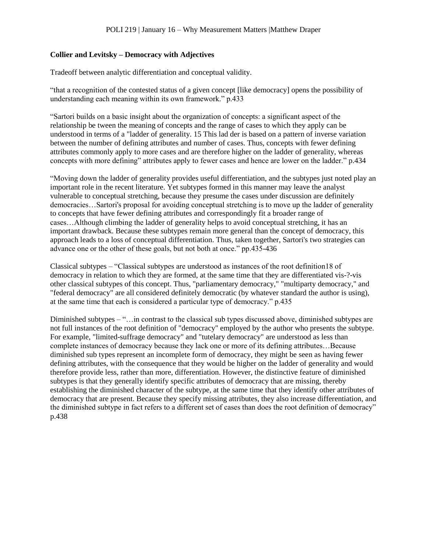## **Collier and Levitsky – Democracy with Adjectives**

Tradeoff between analytic differentiation and conceptual validity.

"that a recognition of the contested status of a given concept [like democracy] opens the possibility of understanding each meaning within its own framework." p.433

"Sartori builds on a basic insight about the organization of concepts: a significant aspect of the relationship be tween the meaning of concepts and the range of cases to which they apply can be understood in terms of a "ladder of generality. 15 This lad der is based on a pattern of inverse variation between the number of defining attributes and number of cases. Thus, concepts with fewer defining attributes commonly apply to more cases and are therefore higher on the ladder of generality, whereas concepts with more defining" attributes apply to fewer cases and hence are lower on the ladder." p.434

"Moving down the ladder of generality provides useful differentiation, and the subtypes just noted play an important role in the recent literature. Yet subtypes formed in this manner may leave the analyst vulnerable to conceptual stretching, because they presume the cases under discussion are definitely democracies…Sartori's proposal for avoiding conceptual stretching is to move up the ladder of generality to concepts that have fewer defining attributes and correspondingly fit a broader range of cases…Although climbing the ladder of generality helps to avoid conceptual stretching, it has an important drawback. Because these subtypes remain more general than the concept of democracy, this approach leads to a loss of conceptual differentiation. Thus, taken together, Sartori's two strategies can advance one or the other of these goals, but not both at once." pp.435-436

Classical subtypes – "Classical subtypes are understood as instances of the root definition18 of democracy in relation to which they are formed, at the same time that they are differentiated vis-?-vis other classical subtypes of this concept. Thus, "parliamentary democracy," "multiparty democracy," and "federal democracy" are all considered definitely democratic (by whatever standard the author is using), at the same time that each is considered a particular type of democracy." p.435

Diminished subtypes – "…in contrast to the classical sub types discussed above, diminished subtypes are not full instances of the root definition of "democracy" employed by the author who presents the subtype. For example, "limited-suffrage democracy" and "tutelary democracy" are understood as less than complete instances of democracy because they lack one or more of its defining attributes…Because diminished sub types represent an incomplete form of democracy, they might be seen as having fewer defining attributes, with the consequence that they would be higher on the ladder of generality and would therefore provide less, rather than more, differentiation. However, the distinctive feature of diminished subtypes is that they generally identify specific attributes of democracy that are missing, thereby establishing the diminished character of the subtype, at the same time that they identify other attributes of democracy that are present. Because they specify missing attributes, they also increase differentiation, and the diminished subtype in fact refers to a different set of cases than does the root definition of democracy" p.438